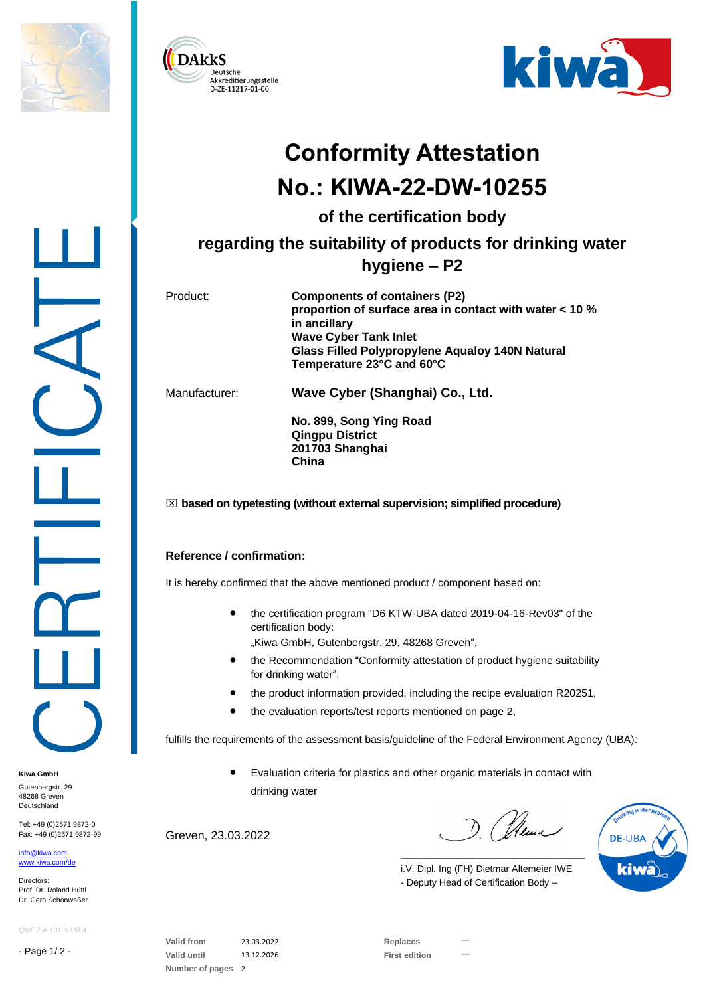





# **Conformity Attestation No.: KIWA-22-DW-10255**

**of the certification body**

## **regarding the suitability of products for drinking water hygiene – P2**

Product: **Components of containers (P2) proportion of surface area in contact with water < 10 % in ancillary Wave Cyber Tank Inlet Glass Filled Polypropylene Aqualoy 140N Natural Temperature 23°C and 60°C**

Manufacturer: **Wave Cyber (Shanghai) Co., Ltd.**

**No. 899, Song Ying Road Qingpu District 201703 Shanghai China**

### **based on typetesting (without external supervision; simplified procedure)**

### **Reference / confirmation:**

It is hereby confirmed that the above mentioned product / component based on:

- the certification program "D6 KTW-UBA dated 2019-04-16-Rev03" of the certification body:
	- "Kiwa GmbH, Gutenbergstr. 29, 48268 Greven",
- the Recommendation "Conformity attestation of product hygiene suitability for drinking water",
- the product information provided, including the recipe evaluation R20251,
- the evaluation reports/test reports mentioned on page 2,

fulfills the requirements of the assessment basis/guideline of the Federal Environment Agency (UBA):

• Evaluation criteria for plastics and other organic materials in contact with drinking water

Greven, 23.03.2022

D. (neur

**DE-UBA** kiwa

i.V. Dipl. Ing (FH) Dietmar Altemeier IWE - Deputy Head of Certification Body –

\_\_\_\_\_\_\_\_\_\_\_\_\_\_\_\_\_\_\_\_\_\_\_\_\_\_\_\_

QMF Z A 101 h-1/R.4

Tel: +49 (0)2571 9872-0 Fax: +49 (0)2571 9872-99

- Page 1/ 2 -

**Kiwa GmbH** Gutenbergstr, 29 48268 Greven Deutschland

[info@kiwa.com](mailto:info@kiwa.com) [www.kiwa.com/d](http://www.kiwa.com/)e

Directors: Prof. Dr. Roland Hüttl Dr. Gero Schönwaßer

> **Valid from** 23.03.2022 **Replaces ---** Valid until 13.12.2026 **First edition Number of pages** 2